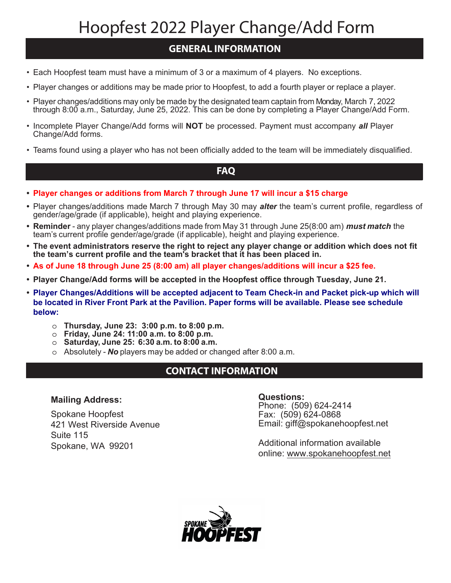# Hoopfest 2022 Player Change/Add Form

## **GENERAL INFORMATION**

- Each Hoopfest team must have a minimum of 3 or a maximum of 4 players. No exceptions.
- Player changes or additions may be made prior to Hoopfest, to add a fourth player or replace a player.
- Player changes/additions may only be made by the designated team captain from Monday, March 7, 2022 through 8:00 a.m., Saturday, June 25, 2022. This can be done by completing a Player Change/Add Form.
- Incomplete Player Change/Add forms will **NOT** be processed. Payment must accompany *all* Player Change/Add forms.
- Teams found using a player who has not been officially added to the team will be immediately disqualified.

### **FAQ**

- **• Player changes or additions from March 7 through June 17 will incur a \$15 charge**
- **•** Player changes/additions made March 7 through May 30 may *alter* the team's current profile, regardless of gender/age/grade (if applicable), height and playing experience.
- **• Reminder**  any player changes/additions made from May 31 through June 25(8:00 am) *must match* the team's current profile gender/age/grade (if applicable), height and playing experience.
- **• The event administrators reserve the right to reject any player change or addition which does not fit the team's current profile and the team's bracket that it has been placed in.**
- **• As of June 18 through June 25 (8:00 am) all player changes/additions will incur a \$25 fee.**
- **• Player Change/Add forms will be accepted in the Hoopfest office through Tuesday, June 21.**
- **• Player Changes/Additions will be accepted adjacent to Team Check-in and Packet pick-up which will be located in River Front Park at the Pavilion. Paper forms will be available. Please see schedule below:**
	- o **Thursday, June 23: 3:00 p.m. to 8:00 p.m.**
	- o **Friday, June 24: 11:00 a.m. to 8:00 p.m.**
	- o **Saturday, June 25: 6:30 a.m. to 8:00 a.m.**
	- o Absolutely *No* players may be added or changed after 8:00 a.m.

### **CONTACT INFORMATION**

#### **Mailing Address:**

Spokane Hoopfest 421 West Riverside Avenue Suite 115 Spokane, WA 99201

#### **Questions:**

Phone: (509) 624-2414 Fax: (509) 624-0868 Email: giff@spokanehoopfest.net

Additional information available online: www.spokanehoopfest.net